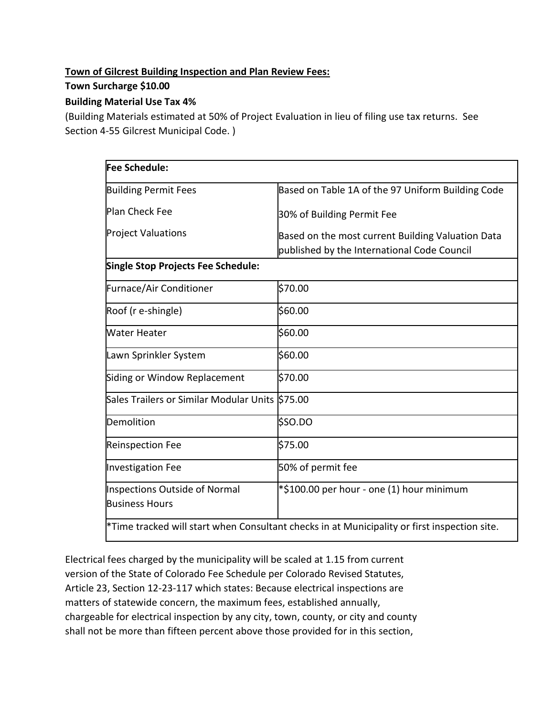## **Town of Gilcrest Building Inspection and Plan Review Fees:**

## **Town Surcharge \$10.00**

## **Building Material Use Tax 4%**

(Building Materials estimated at 50% of Project Evaluation in lieu of filing use tax returns. See Section 4-55 Gilcrest Municipal Code. )

| <b>Fee Schedule:</b>                                          |                                                                                                  |  |
|---------------------------------------------------------------|--------------------------------------------------------------------------------------------------|--|
| <b>Building Permit Fees</b>                                   | Based on Table 1A of the 97 Uniform Building Code                                                |  |
| <b>Plan Check Fee</b>                                         | 30% of Building Permit Fee                                                                       |  |
| <b>Project Valuations</b>                                     | Based on the most current Building Valuation Data<br>published by the International Code Council |  |
| Single Stop Projects Fee Schedule:                            |                                                                                                  |  |
| Furnace/Air Conditioner                                       | \$70.00                                                                                          |  |
| Roof (r e-shingle)                                            | \$60.00                                                                                          |  |
| <b>Water Heater</b>                                           | \$60.00                                                                                          |  |
| Lawn Sprinkler System                                         | \$60.00                                                                                          |  |
| Siding or Window Replacement                                  | \$70.00                                                                                          |  |
| Sales Trailers or Similar Modular Units S75.00                |                                                                                                  |  |
| Demolition                                                    | \$SO.DO                                                                                          |  |
| <b>Reinspection Fee</b>                                       | \$75.00                                                                                          |  |
| <b>Investigation Fee</b>                                      | 50% of permit fee                                                                                |  |
| <b>Inspections Outside of Normal</b><br><b>Business Hours</b> | *\$100.00 per hour - one (1) hour minimum                                                        |  |
|                                                               | *Time tracked will start when Consultant checks in at Municipality or first inspection site.     |  |

Electrical fees charged by the municipality will be scaled at 1.15 from current version of the State of Colorado Fee Schedule per Colorado Revised Statutes, Article 23, Section 12-23-117 which states: Because electrical inspections are matters of statewide concern, the maximum fees, established annually, chargeable for electrical inspection by any city, town, county, or city and county shall not be more than fifteen percent above those provided for in this section,